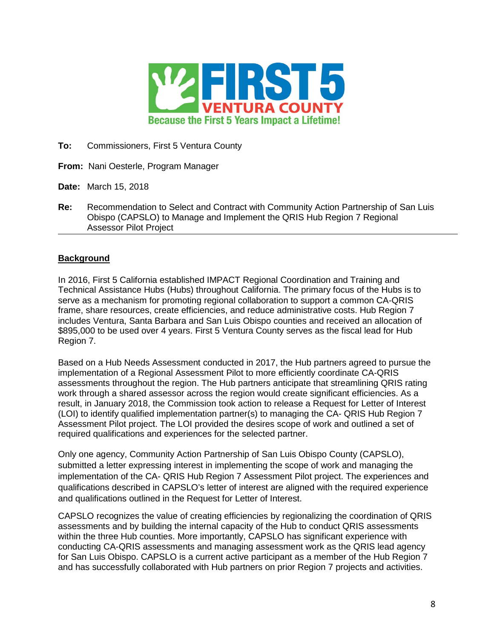

**To:** Commissioners, First 5 Ventura County

- **From:** Nani Oesterle, Program Manager
- **Date:** March 15, 2018
- **Re:** Recommendation to Select and Contract with Community Action Partnership of San Luis Obispo (CAPSLO) to Manage and Implement the QRIS Hub Region 7 Regional Assessor Pilot Project

## **Background**

In 2016, First 5 California established IMPACT Regional Coordination and Training and Technical Assistance Hubs (Hubs) throughout California. The primary focus of the Hubs is to serve as a mechanism for promoting regional collaboration to support a common CA-QRIS frame, share resources, create efficiencies, and reduce administrative costs. Hub Region 7 includes Ventura, Santa Barbara and San Luis Obispo counties and received an allocation of \$895,000 to be used over 4 years. First 5 Ventura County serves as the fiscal lead for Hub Region 7.

Based on a Hub Needs Assessment conducted in 2017, the Hub partners agreed to pursue the implementation of a Regional Assessment Pilot to more efficiently coordinate CA-QRIS assessments throughout the region. The Hub partners anticipate that streamlining QRIS rating work through a shared assessor across the region would create significant efficiencies. As a result, in January 2018, the Commission took action to release a Request for Letter of Interest (LOI) to identify qualified implementation partner(s) to managing the CA- QRIS Hub Region 7 Assessment Pilot project. The LOI provided the desires scope of work and outlined a set of required qualifications and experiences for the selected partner.

Only one agency, Community Action Partnership of San Luis Obispo County (CAPSLO), submitted a letter expressing interest in implementing the scope of work and managing the implementation of the CA- QRIS Hub Region 7 Assessment Pilot project. The experiences and qualifications described in CAPSLO's letter of interest are aligned with the required experience and qualifications outlined in the Request for Letter of Interest.

CAPSLO recognizes the value of creating efficiencies by regionalizing the coordination of QRIS assessments and by building the internal capacity of the Hub to conduct QRIS assessments within the three Hub counties. More importantly, CAPSLO has significant experience with conducting CA-QRIS assessments and managing assessment work as the QRIS lead agency for San Luis Obispo. CAPSLO is a current active participant as a member of the Hub Region 7 and has successfully collaborated with Hub partners on prior Region 7 projects and activities.